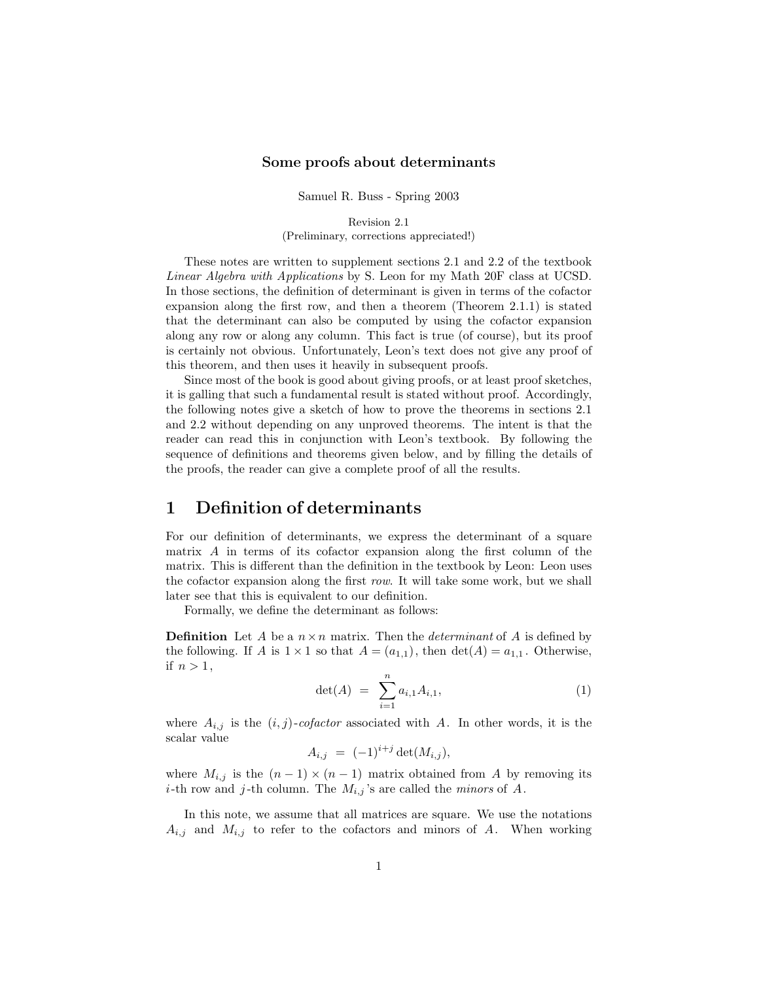#### **Some proofs about determinants**

Samuel R. Buss - Spring 2003

Revision 2.1 (Preliminary, corrections appreciated!)

These notes are written to supplement sections 2.1 and 2.2 of the textbook *Linear Algebra with Applications* by S. Leon for my Math 20F class at UCSD. In those sections, the definition of determinant is given in terms of the cofactor expansion along the first row, and then a theorem (Theorem 2.1.1) is stated that the determinant can also be computed by using the cofactor expansion along any row or along any column. This fact is true (of course), but its proof is certainly not obvious. Unfortunately, Leon's text does not give any proof of this theorem, and then uses it heavily in subsequent proofs.

Since most of the book is good about giving proofs, or at least proof sketches, it is galling that such a fundamental result is stated without proof. Accordingly, the following notes give a sketch of how to prove the theorems in sections 2.1 and 2.2 without depending on any unproved theorems. The intent is that the reader can read this in conjunction with Leon's textbook. By following the sequence of definitions and theorems given below, and by filling the details of the proofs, the reader can give a complete proof of all the results.

#### **1 Definition of determinants**

For our definition of determinants, we express the determinant of a square matrix A in terms of its cofactor expansion along the first column of the matrix. This is different than the definition in the textbook by Leon: Leon uses the cofactor expansion along the first *row*. It will take some work, but we shall later see that this is equivalent to our definition.

Formally, we define the determinant as follows:

**Definition** Let A be a  $n \times n$  matrix. Then the *determinant* of A is defined by the following. If A is  $1 \times 1$  so that  $A = (a_{1,1})$ , then  $\det(A) = a_{1,1}$ . Otherwise, if  $n > 1$ ,

$$
\det(A) = \sum_{i=1}^{n} a_{i,1} A_{i,1}, \tag{1}
$$

where  $A_{i,j}$  is the  $(i, j)$ -cofactor associated with A. In other words, it is the scalar value

$$
A_{i,j} = (-1)^{i+j} \det(M_{i,j}),
$$

where  $M_{i,j}$  is the  $(n-1) \times (n-1)$  matrix obtained from A by removing its *i*-th row and *j*-th column. The  $M_{i,j}$ 's are called the *minors* of A.

In this note, we assume that all matrices are square. We use the notations  $A_{i,j}$  and  $M_{i,j}$  to refer to the cofactors and minors of A. When working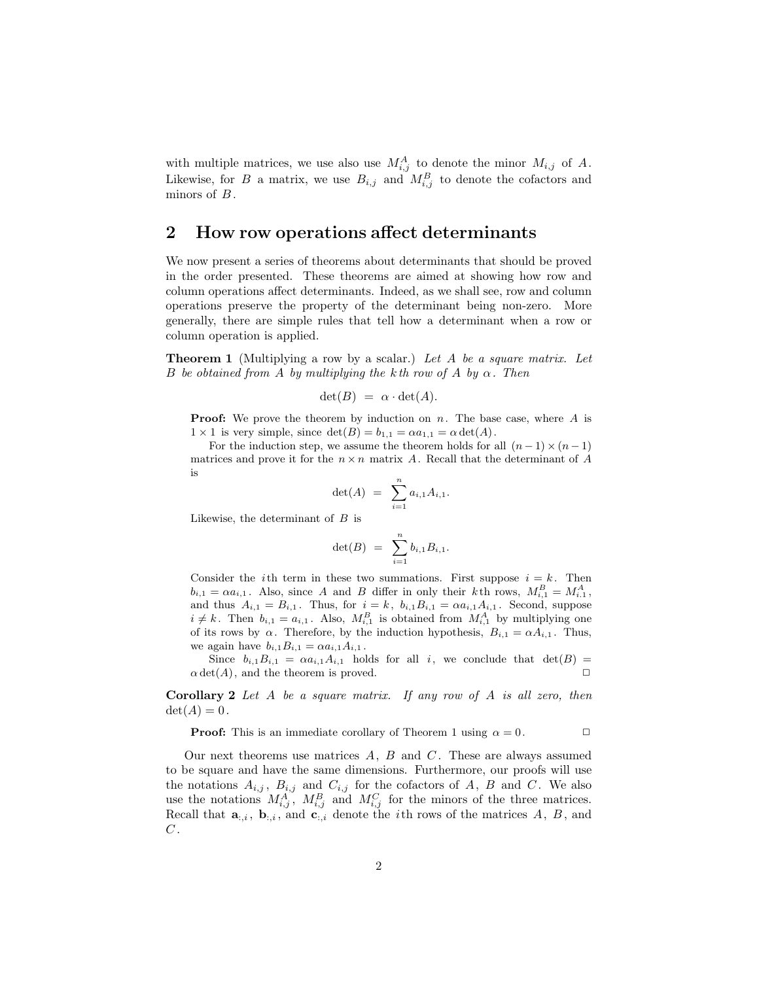with multiple matrices, we use also use  $M_{i,j}^A$  to denote the minor  $M_{i,j}$  of A. Likewise, for B a matrix, we use  $B_{i,j}$  and  $M_{i,j}^B$  to denote the cofactors and minors of B.

### **2 How row operations affect determinants**

We now present a series of theorems about determinants that should be proved in the order presented. These theorems are aimed at showing how row and column operations affect determinants. Indeed, as we shall see, row and column operations preserve the property of the determinant being non-zero. More generally, there are simple rules that tell how a determinant when a row or column operation is applied.

**Theorem 1** (Multiplying a row by a scalar.) *Let* A *be a square matrix. Let* B *be obtained from* A *by multiplying the* kth row of A *by*  $\alpha$ . Then

$$
\det(B) = \alpha \cdot \det(A).
$$

**Proof:** We prove the theorem by induction on  $n$ . The base case, where  $A$  is  $1 \times 1$  is very simple, since  $\det(B) = b_{1,1} = \alpha a_{1,1} = \alpha \det(A)$ .

For the induction step, we assume the theorem holds for all  $(n-1) \times (n-1)$ matrices and prove it for the  $n \times n$  matrix A. Recall that the determinant of A is

$$
\det(A) = \sum_{i=1}^n a_{i,1} A_{i,1}.
$$

Likewise, the determinant of  $B$  is

$$
\det(B) = \sum_{i=1}^n b_{i,1} B_{i,1}.
$$

Consider the *i*th term in these two summations. First suppose  $i = k$ . Then  $b_{i,1} = \alpha a_{i,1}$ . Also, since A and B differ in only their kth rows,  $M_{i,1}^B = M_{i,1}^A$ , and thus  $A_{i,1} = B_{i,1}$ . Thus, for  $i = k$ ,  $b_{i,1}B_{i,1} = \alpha a_{i,1}A_{i,1}$ . Second, suppose  $i \neq k$ . Then  $b_{i,1} = a_{i,1}$ . Also,  $M_{i,1}^B$  is obtained from  $M_{i,1}^A$  by multiplying one of its rows by  $\alpha$ . Therefore, by the induction hypothesis,  $B_{i,1} = \alpha A_{i,1}$ . Thus, we again have  $b_{i,1}B_{i,1} = \alpha a_{i,1}A_{i,1}$ .

Since  $b_{i,1}B_{i,1} = \alpha a_{i,1}A_{i,1}$  holds for all i, we conclude that  $det(B) =$  $\alpha$  det(A), and the theorem is proved.  $\square$ 

**Corollary 2** *Let* A *be a square matrix. If any row of* A *is all zero, then*  $\det(A)=0$ .

**Proof:** This is an immediate corollary of Theorem 1 using  $\alpha = 0$ .

Our next theorems use matrices  $A, B$  and  $C$ . These are always assumed to be square and have the same dimensions. Furthermore, our proofs will use the notations  $A_{i,j}$ ,  $B_{i,j}$  and  $C_{i,j}$  for the cofactors of A, B and C. We also use the notations  $M_{i,j}^A$ ,  $M_{i,j}^B$  and  $M_{i,j}^C$  for the minors of the three matrices. Recall that  $\mathbf{a}_{:,i}$ ,  $\mathbf{b}_{:,i}$ , and  $\mathbf{c}_{:,i}$  denote the *i*th rows of the matrices A, B, and  $C$ .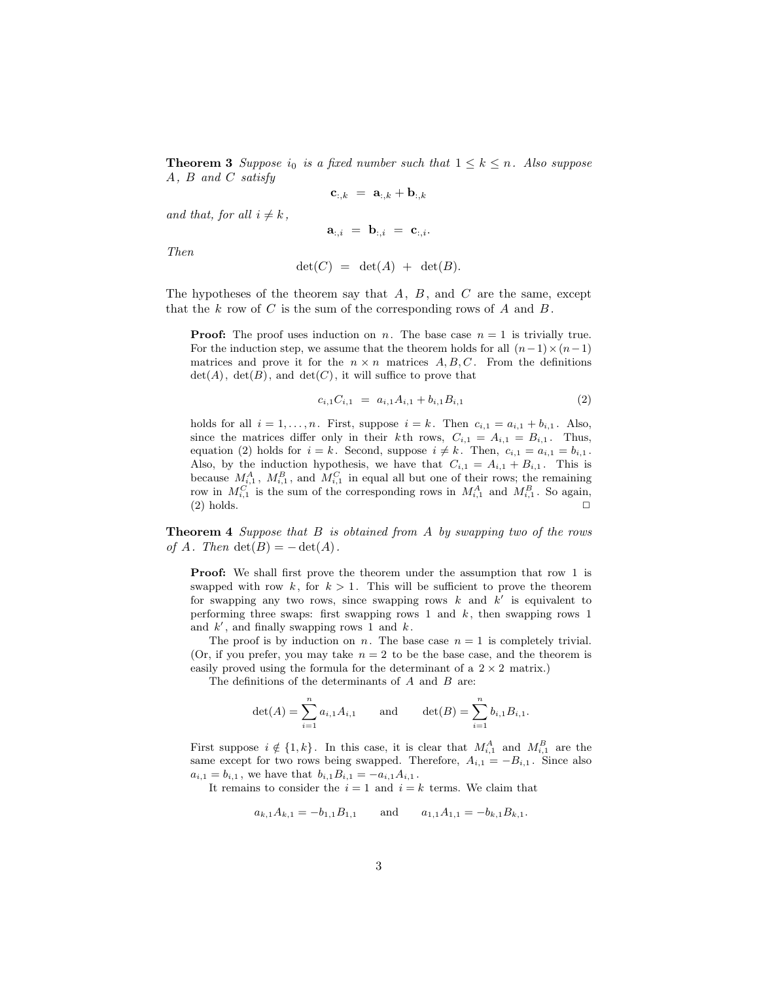**Theorem 3** *Suppose*  $i_0$  *is a fixed number such that*  $1 \leq k \leq n$ *. Also suppose* A*,* B *and* C *satisfy*

$$
\mathbf{c}_{:,k}~=~\mathbf{a}_{:,k}+\mathbf{b}_{:,k}
$$

*and that, for all*  $i \neq k$ *,* 

$$
{\bf a}_{:,i} \ = \ {\bf b}_{:,i} \ = \ {\bf c}_{:,i}.
$$

*Then*

$$
\det(C) = \det(A) + \det(B).
$$

The hypotheses of the theorem say that  $A, B$ , and  $C$  are the same, except that the k row of C is the sum of the corresponding rows of A and  $B$ .

**Proof:** The proof uses induction on n. The base case  $n = 1$  is trivially true. For the induction step, we assume that the theorem holds for all  $(n-1) \times (n-1)$ matrices and prove it for the  $n \times n$  matrices  $A, B, C$ . From the definitions  $\det(A)$ ,  $\det(B)$ , and  $\det(C)$ , it will suffice to prove that

$$
c_{i,1}C_{i,1} = a_{i,1}A_{i,1} + b_{i,1}B_{i,1} \tag{2}
$$

holds for all  $i = 1, \ldots, n$ . First, suppose  $i = k$ . Then  $c_{i,1} = a_{i,1} + b_{i,1}$ . Also, since the matrices differ only in their k<sup>th</sup> rows,  $C_{i,1} = A_{i,1} = B_{i,1}$ . Thus, equation (2) holds for  $i = k$ . Second, suppose  $i \neq k$ . Then,  $c_{i,1} = a_{i,1} = b_{i,1}$ . Also, by the induction hypothesis, we have that  $C_{i,1} = A_{i,1} + B_{i,1}$ . This is because  $M_{i,1}^A$ ,  $M_{i,1}^B$ , and  $M_{i,1}^C$  in equal all but one of their rows; the remaining row in  $M_{i,1}^C$  is the sum of the corresponding rows in  $M_{i,1}^A$  and  $M_{i,1}^B$ . So again,  $(2)$  holds.

**Theorem 4** *Suppose that* B *is obtained from* A *by swapping two of the rows of*  $A$ *. Then*  $det(B) = -det(A)$ *.* 

**Proof:** We shall first prove the theorem under the assumption that row 1 is swapped with row k, for  $k > 1$ . This will be sufficient to prove the theorem for swapping any two rows, since swapping rows  $k$  and  $k'$  is equivalent to performing three swaps: first swapping rows 1 and  $k$ , then swapping rows 1 and  $k'$ , and finally swapping rows 1 and  $k$ .

The proof is by induction on n. The base case  $n = 1$  is completely trivial. (Or, if you prefer, you may take  $n = 2$  to be the base case, and the theorem is easily proved using the formula for the determinant of a  $2 \times 2$  matrix.)

The definitions of the determinants of  $A$  and  $B$  are:

$$
\det(A) = \sum_{i=1}^{n} a_{i,1} A_{i,1} \quad \text{and} \quad \det(B) = \sum_{i=1}^{n} b_{i,1} B_{i,1}.
$$

First suppose  $i \notin \{1, k\}$ . In this case, it is clear that  $M_{i,1}^A$  and  $M_{i,1}^B$  are the same except for two rows being swapped. Therefore,  $A_{i,1} = -B_{i,1}$ . Since also  $a_{i,1} = b_{i,1}$ , we have that  $b_{i,1}B_{i,1} = -a_{i,1}A_{i,1}$ .

It remains to consider the  $i = 1$  and  $i = k$  terms. We claim that

$$
a_{k,1}A_{k,1} = -b_{1,1}B_{1,1}
$$
 and  $a_{1,1}A_{1,1} = -b_{k,1}B_{k,1}$ .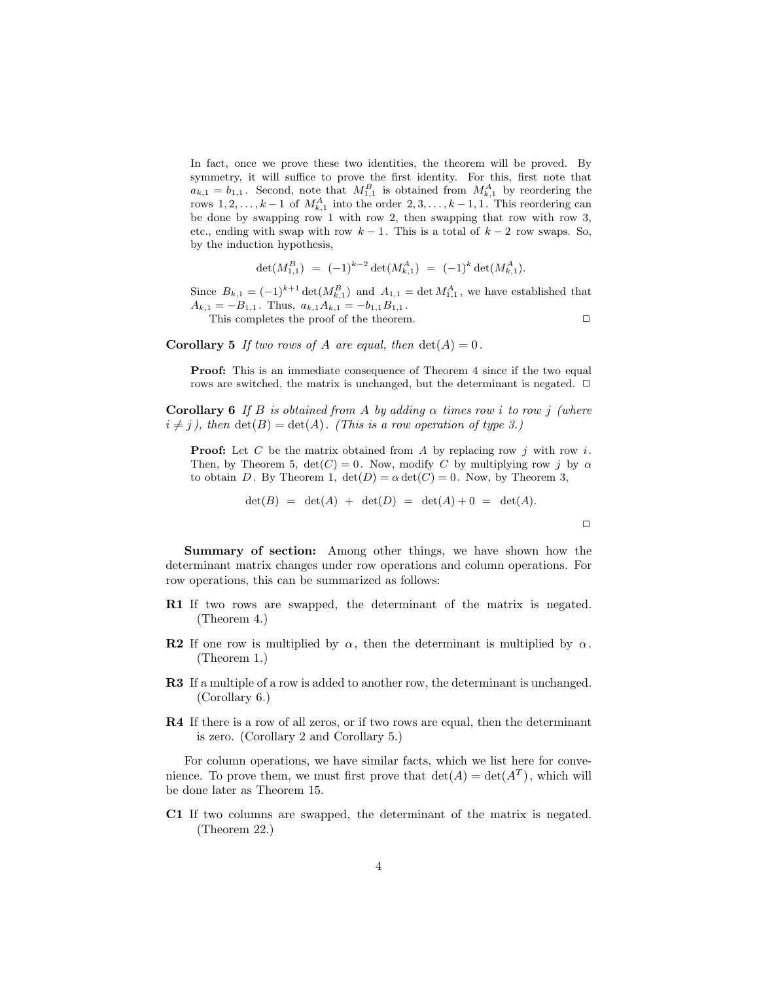In fact, once we prove these two identities, the theorem will be proved. By symmetry, it will suffice to prove the first identity. For this, first note that  $a_{k,1} = b_{1,1}$ . Second, note that  $M_{1,1}^B$  is obtained from  $M_{k,1}^A$  by reordering the rows  $1, 2, \ldots, k-1$  of  $M_{k,1}^A$  into the order  $2, 3, \ldots, k-1, 1$ . This reordering can be done by swapping row 1 with row 2, then swapping that row with row 3, etc., ending with swap with row  $k - 1$ . This is a total of  $k - 2$  row swaps. So, by the induction hypothesis,

$$
\det(M_{1,1}^B) = (-1)^{k-2} \det(M_{k,1}^A) = (-1)^k \det(M_{k,1}^A).
$$

Since  $B_{k,1} = (-1)^{k+1} \det(M_{k,1}^B)$  and  $A_{1,1} = \det M_{1,1}^A$ , we have established that  $A_{k,1} = -B_{1,1}$ . Thus,  $a_{k,1}A_{k,1} = -b_{1,1}B_{1,1}$ .

This completes the proof of the theorem.  $\Box$ 

**Corollary 5** *If two rows of* A *are equal, then*  $det(A) = 0$ *.* 

**Proof:** This is an immediate consequence of Theorem 4 since if the two equal rows are switched, the matrix is unchanged, but the determinant is negated.  $\Box$ 

**Corollary 6** *If* B *is obtained from* A *by adding* α *times row* i *to row* j *(where*  $i \neq j$ , then  $\det(B) = \det(A)$ *. (This is a row operation of type 3.)* 

**Proof:** Let  $C$  be the matrix obtained from  $A$  by replacing row  $j$  with row  $i$ . Then, by Theorem 5,  $\det(C) = 0$ . Now, modify C by multiplying row j by  $\alpha$ to obtain D. By Theorem 1,  $\det(D) = \alpha \det(C) = 0$ . Now, by Theorem 3,

$$
\det(B) = \det(A) + \det(D) = \det(A) + 0 = \det(A).
$$

 $\Box$ 

**Summary of section:** Among other things, we have shown how the determinant matrix changes under row operations and column operations. For row operations, this can be summarized as follows:

- **R1** If two rows are swapped, the determinant of the matrix is negated. (Theorem 4.)
- **R2** If one row is multiplied by  $\alpha$ , then the determinant is multiplied by  $\alpha$ . (Theorem 1.)
- **R3** If a multiple of a row is added to another row, the determinant is unchanged. (Corollary 6.)
- **R4** If there is a row of all zeros, or if two rows are equal, then the determinant is zero. (Corollary 2 and Corollary 5.)

For column operations, we have similar facts, which we list here for convenience. To prove them, we must first prove that  $\det(A) = \det(A^T)$ , which will be done later as Theorem 15.

**C1** If two columns are swapped, the determinant of the matrix is negated. (Theorem 22.)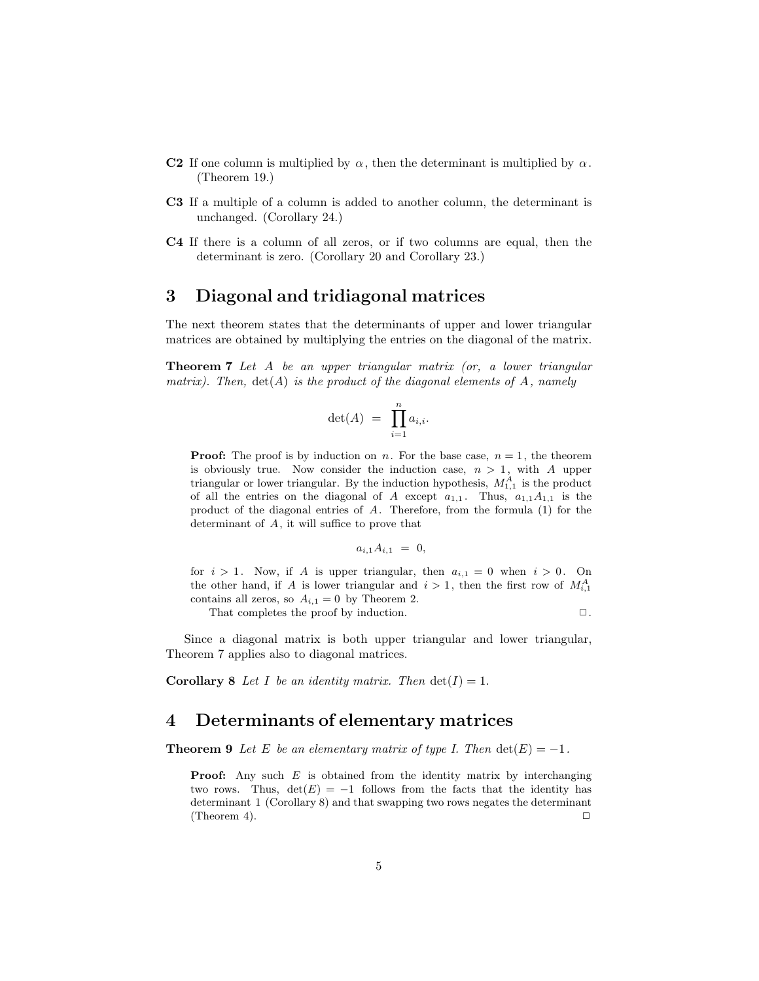- **C2** If one column is multiplied by  $\alpha$ , then the determinant is multiplied by  $\alpha$ . (Theorem 19.)
- **C3** If a multiple of a column is added to another column, the determinant is unchanged. (Corollary 24.)
- **C4** If there is a column of all zeros, or if two columns are equal, then the determinant is zero. (Corollary 20 and Corollary 23.)

### **3 Diagonal and tridiagonal matrices**

The next theorem states that the determinants of upper and lower triangular matrices are obtained by multiplying the entries on the diagonal of the matrix.

**Theorem 7** *Let* A *be an upper triangular matrix (or, a lower triangular matrix). Then,* det(A) *is the product of the diagonal elements of* A*, namely*

$$
\det(A) = \prod_{i=1}^n a_{i,i}.
$$

**Proof:** The proof is by induction on n. For the base case,  $n = 1$ , the theorem is obviously true. Now consider the induction case,  $n > 1$ , with A upper triangular or lower triangular. By the induction hypothesis,  $M_{1,1}^A$  is the product of all the entries on the diagonal of A except  $a_{1,1}$ . Thus,  $a_{1,1}A_{1,1}$  is the product of the diagonal entries of A. Therefore, from the formula (1) for the determinant of A, it will suffice to prove that

$$
a_{i,1}A_{i,1} = 0,
$$

for  $i > 1$ . Now, if A is upper triangular, then  $a_{i,1} = 0$  when  $i > 0$ . On the other hand, if A is lower triangular and  $i > 1$ , then the first row of  $M_{i,1}^A$ contains all zeros, so  $A_{i,1} = 0$  by Theorem 2.

That completes the proof by induction.

$$
\Box\,.
$$

Since a diagonal matrix is both upper triangular and lower triangular, Theorem 7 applies also to diagonal matrices.

**Corollary 8** Let I be an identity matrix. Then  $det(I) = 1$ .

### **4 Determinants of elementary matrices**

**Theorem 9** *Let* E *be an elementary matrix of type I. Then*  $det(E) = -1$ *.* 

**Proof:** Any such  $E$  is obtained from the identity matrix by interchanging two rows. Thus,  $det(E) = -1$  follows from the facts that the identity has determinant 1 (Corollary 8) and that swapping two rows negates the determinant (Theorem 4).  $\Box$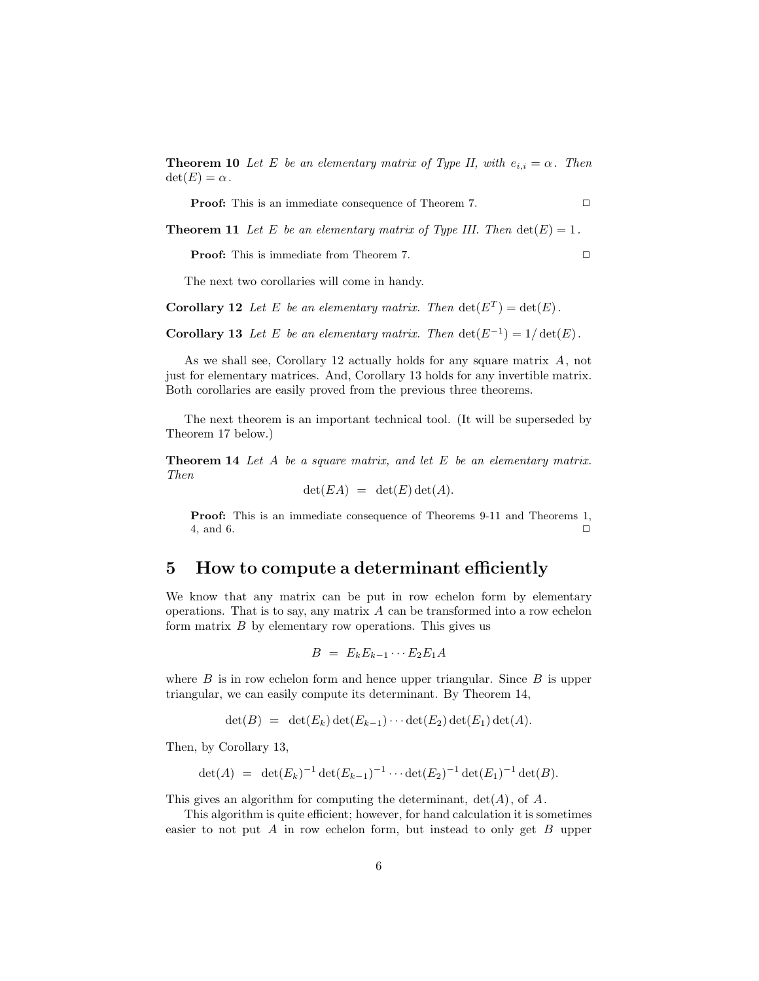**Theorem 10** *Let* E *be an elementary matrix of Type II, with*  $e_{i,i} = \alpha$ . Then  $\det(E) = \alpha$ .

**Proof:** This is an immediate consequence of Theorem 7. **□** 

**Theorem 11** Let E be an elementary matrix of Type III. Then  $det(E)=1$ .

**Proof:** This is immediate from Theorem 7. **□** 

The next two corollaries will come in handy.

**Corollary 12** Let E be an elementary matrix. Then  $\det(E^T) = \det(E)$ .

**Corollary 13** *Let* E *be an elementary matrix. Then*  $\det(E^{-1}) = 1/\det(E)$ *.* 

As we shall see, Corollary 12 actually holds for any square matrix A, not just for elementary matrices. And, Corollary 13 holds for any invertible matrix. Both corollaries are easily proved from the previous three theorems.

The next theorem is an important technical tool. (It will be superseded by Theorem 17 below.)

**Theorem 14** *Let* A *be a square matrix, and let* E *be an elementary matrix. Then*

$$
\det(EA) = \det(E) \det(A).
$$

**Proof:** This is an immediate consequence of Theorems 9-11 and Theorems 1,  $4, \text{ and } 6.$ 

#### **5 How to compute a determinant efficiently**

We know that any matrix can be put in row echelon form by elementary operations. That is to say, any matrix  $A$  can be transformed into a row echelon form matrix  $B$  by elementary row operations. This gives us

$$
B = E_k E_{k-1} \cdots E_2 E_1 A
$$

where  $B$  is in row echelon form and hence upper triangular. Since  $B$  is upper triangular, we can easily compute its determinant. By Theorem 14,

$$
\det(B) = \det(E_k) \det(E_{k-1}) \cdots \det(E_2) \det(E_1) \det(A).
$$

Then, by Corollary 13,

$$
\det(A) = \det(E_k)^{-1} \det(E_{k-1})^{-1} \cdots \det(E_2)^{-1} \det(E_1)^{-1} \det(B).
$$

This gives an algorithm for computing the determinant,  $det(A)$ , of A.

This algorithm is quite efficient; however, for hand calculation it is sometimes easier to not put  $A$  in row echelon form, but instead to only get  $B$  upper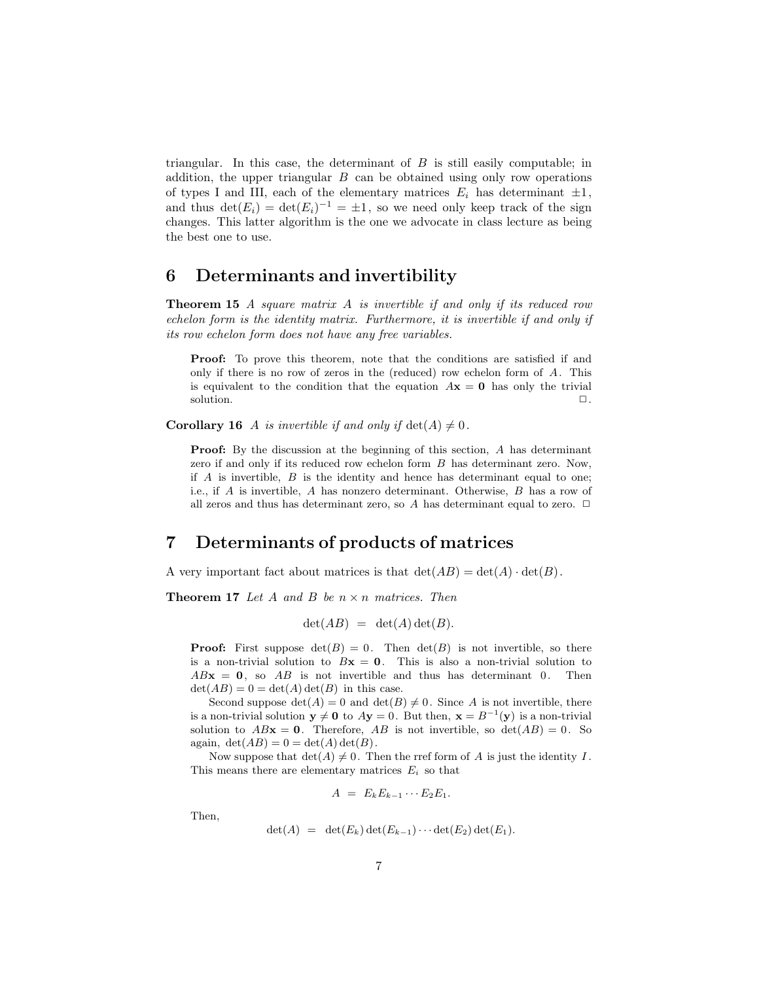triangular. In this case, the determinant of  $B$  is still easily computable; in addition, the upper triangular  $B$  can be obtained using only row operations of types I and III, each of the elementary matrices  $E_i$  has determinant  $\pm 1$ , and thus  $\det(E_i) = \det(E_i)^{-1} = \pm 1$ , so we need only keep track of the sign changes. This latter algorithm is the one we advocate in class lecture as being the best one to use.

#### **6 Determinants and invertibility**

**Theorem 15** *A square matrix* A *is invertible if and only if its reduced row echelon form is the identity matrix. Furthermore, it is invertible if and only if its row echelon form does not have any free variables.*

**Proof:** To prove this theorem, note that the conditions are satisfied if and only if there is no row of zeros in the (reduced) row echelon form of  $A$ . This is equivalent to the condition that the equation  $A\mathbf{x} = \mathbf{0}$  has only the trivial solution.  $\Box$ .

**Corollary 16** A *is invertible if and only if*  $det(A) \neq 0$ .

**Proof:** By the discussion at the beginning of this section, A has determinant zero if and only if its reduced row echelon form B has determinant zero. Now, if  $A$  is invertible,  $B$  is the identity and hence has determinant equal to one; i.e., if A is invertible, A has nonzero determinant. Otherwise, B has a row of all zeros and thus has determinant zero, so A has determinant equal to zero.  $\Box$ 

## **7 Determinants of products of matrices**

A very important fact about matrices is that  $\det(AB) = \det(A) \cdot \det(B)$ .

**Theorem 17** *Let* A *and* B *be* n × n *matrices. Then*

$$
\det(AB) = \det(A)\det(B).
$$

**Proof:** First suppose  $det(B) = 0$ . Then  $det(B)$  is not invertible, so there is a non-trivial solution to  $Bx = 0$ . This is also a non-trivial solution to  $ABx = 0$ , so  $AB$  is not invertible and thus has determinant 0. Then  $\det(AB) = 0 = \det(A) \det(B)$  in this case.

Second suppose  $\det(A) = 0$  and  $\det(B) \neq 0$ . Since A is not invertible, there is a non-trivial solution  $y \neq 0$  to  $Ay = 0$ . But then,  $x = B^{-1}(y)$  is a non-trivial solution to  $ABx = 0$ . Therefore,  $AB$  is not invertible, so  $det(AB) = 0$ . So again,  $\det(AB) = 0 = \det(A) \det(B)$ .

Now suppose that  $\det(A) \neq 0$ . Then the rref form of A is just the identity I. This means there are elementary matrices  $E_i$  so that

$$
A = E_k E_{k-1} \cdots E_2 E_1.
$$

Then,

$$
\det(A) = \det(E_k) \det(E_{k-1}) \cdots \det(E_2) \det(E_1).
$$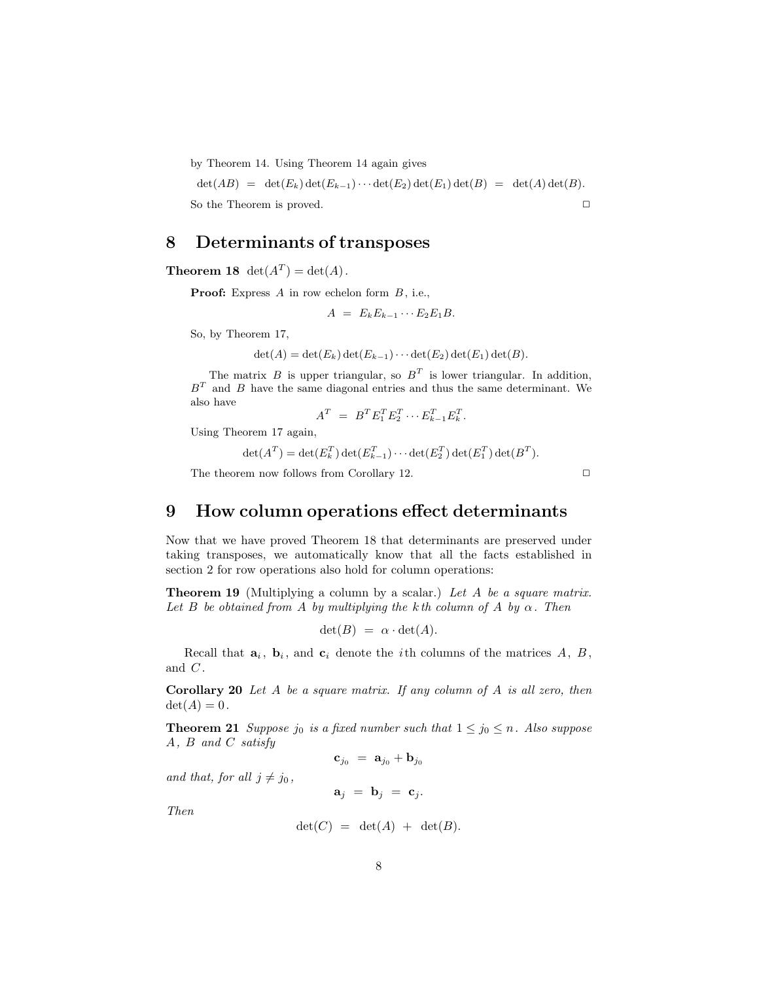by Theorem 14. Using Theorem 14 again gives

 $\det(AB) = \det(E_k) \det(E_{k-1}) \cdots \det(E_2) \det(E_1) \det(B) = \det(A) \det(B).$ So the Theorem is proved.  $\Box$ 

# **8 Determinants of transposes**

**Theorem 18**  $det(A^T) = det(A)$ .

**Proof:** Express  $A$  in row echelon form  $B$ , i.e.,

$$
A = E_k E_{k-1} \cdots E_2 E_1 B.
$$

So, by Theorem 17,

$$
\det(A) = \det(E_k) \det(E_{k-1}) \cdots \det(E_2) \det(E_1) \det(B).
$$

The matrix  $B$  is upper triangular, so  $B<sup>T</sup>$  is lower triangular. In addition,  $B<sup>T</sup>$  and B have the same diagonal entries and thus the same determinant. We also have

$$
A^T = B^T E_1^T E_2^T \cdots E_{k-1}^T E_k^T.
$$

Using Theorem 17 again,

 $\det(A^T) = \det(E_k^T) \det(E_{k-1}^T) \cdots \det(E_2^T) \det(E_1^T) \det(B^T).$ 

The theorem now follows from Corollary 12.  $\Box$ 

## **9 How column operations effect determinants**

Now that we have proved Theorem 18 that determinants are preserved under taking transposes, we automatically know that all the facts established in section 2 for row operations also hold for column operations:

**Theorem 19** (Multiplying a column by a scalar.) *Let* A *be a square matrix.* Let B be obtained from A by multiplying the k th column of A by  $\alpha$ . Then

$$
\det(B) = \alpha \cdot \det(A).
$$

Recall that  $\mathbf{a}_i$ ,  $\mathbf{b}_i$ , and  $\mathbf{c}_i$  denote the *i*th columns of the matrices A, B, and  $C$ .

**Corollary 20** *Let* A *be a square matrix. If any column of* A *is all zero, then*  $det(A)=0$ .

**Theorem 21** *Suppose j*<sub>0</sub> *is a fixed number such that*  $1 \le j_0 \le n$ *. Also suppose* A*,* B *and* C *satisfy*

**<sub>j0</sub> =**  $**a**$ **<sub>j0</sub> +**  $**b**$ **<sub>j0</sub>** 

*and that, for all*  $j \neq j_0$ ,

 $\mathbf{a}_j = \mathbf{b}_j = \mathbf{c}_j.$ 

*Then*

$$
\det(C) = \det(A) + \det(B).
$$